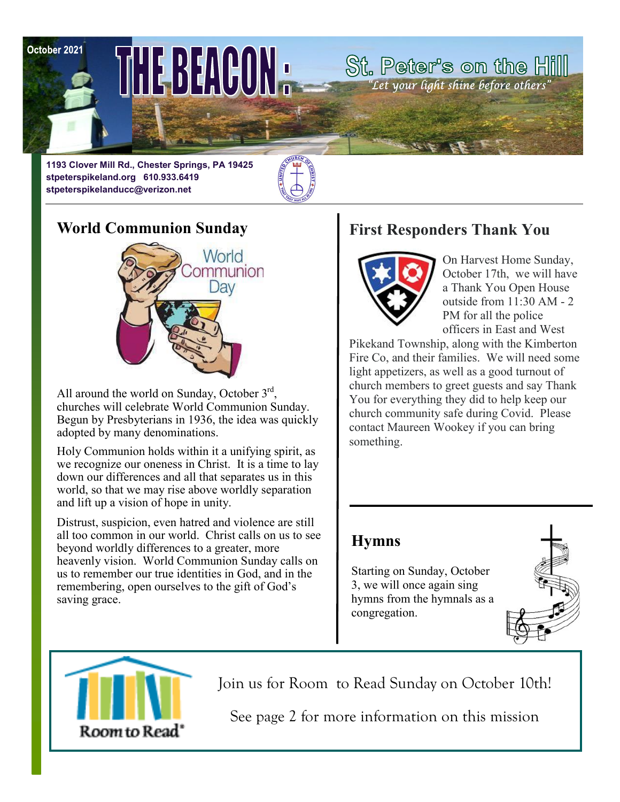October 2021

June 29

THE BEACON.

**1193 Clover Mill Rd., Chester Springs, PA 19425 stpeterspikeland.org 610.933.6419 stpeterspikelanducc@verizon.net**



## **World Communion Sunday**



All around the world on Sunday, October  $3<sup>rd</sup>$ , churches will celebrate World Communion Sunday. Begun by Presbyterians in 1936, the idea was quickly adopted by many denominations.

Holy Communion holds within it a unifying spirit, as we recognize our oneness in Christ. It is a time to lay down our differences and all that separates us in this world, so that we may rise above worldly separation and lift up a vision of hope in unity.

Distrust, suspicion, even hatred and violence are still all too common in our world. Christ calls on us to see beyond worldly differences to a greater, more heavenly vision. World Communion Sunday calls on us to remember our true identities in God, and in the remembering, open ourselves to the gift of God's saving grace.

#### **First Responders Thank You**

St. Peter's on the Hill "Let your light shine before others"



On Harvest Home Sunday, October 17th, we will have a Thank You Open House outside from 11:30 AM - 2 PM for all the police officers in East and West

Pikekand Township, along with the Kimberton Fire Co, and their families. We will need some light appetizers, as well as a good turnout of church members to greet guests and say Thank You for everything they did to help keep our church community safe during Covid. Please contact Maureen Wookey if you can bring something.

#### **Hymns**

Starting on Sunday, October 3, we will once again sing hymns from the hymnals as a congregation.





Join us for Room to Read Sunday on October 10th!

See page 2 for more information on this mission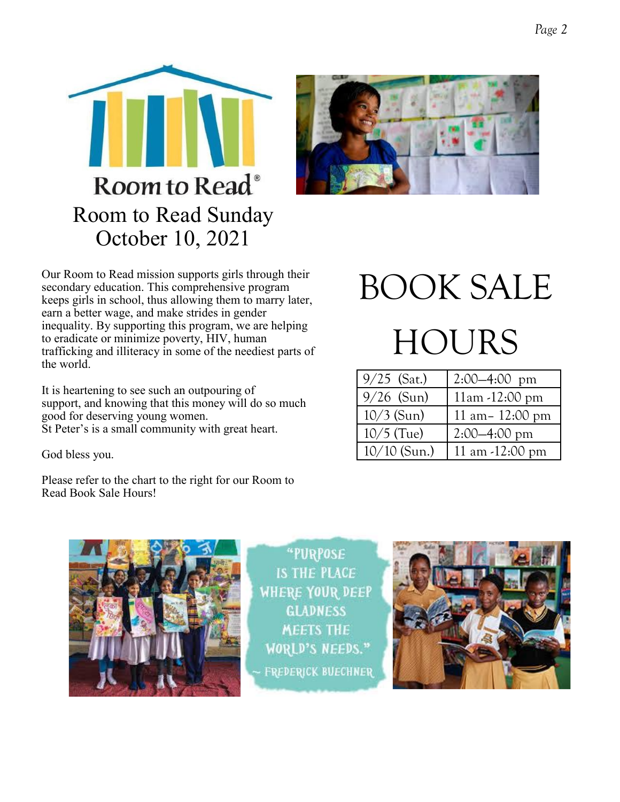



Our Room to Read mission supports girls through their secondary education. This comprehensive program keeps girls in school, thus allowing them to marry later, earn a better wage, and make strides in gender inequality. By supporting this program, we are helping to eradicate or minimize poverty, HIV, human trafficking and illiteracy in some of the neediest parts of the world.

It is heartening to see such an outpouring of support, and knowing that this money will do so much good for deserving young women. St Peter's is a small community with great heart.

God bless you.

Please refer to the chart to the right for our Room to Read Book Sale Hours!

# BOOK SALE **HOURS**

| $9/25$ (Sat.)  | $2:00-4:00$ pm             |
|----------------|----------------------------|
| $9/26$ (Sun)   | $11am - 12:00 pm$          |
| $10/3$ (Sun)   | 11 am $- 12:00 \text{ pm}$ |
| $10/5$ (Tue)   | $2:00-4:00 \text{ pm}$     |
| $10/10$ (Sun.) | 11 am -12:00 pm            |



"PURPOSE **IS THE PLACE WHERE YOUR DEEP GLADNESS MEETS THE WORLD'S NEEDS." FREDERICK BUECHNER** 

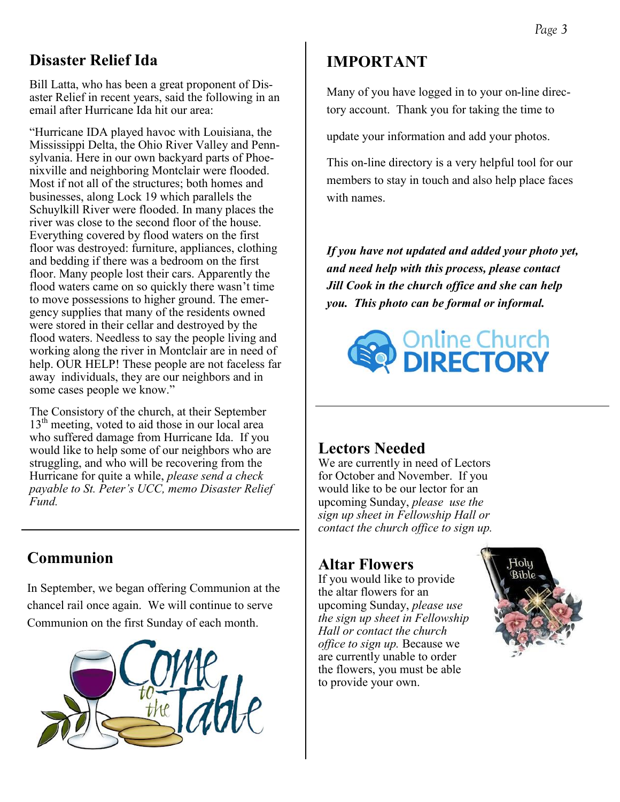# **Disaster Relief Ida**

Bill Latta, who has been a great proponent of Disaster Relief in recent years, said the following in an email after Hurricane Ida hit our area:

"Hurricane IDA played havoc with Louisiana, the Mississippi Delta, the Ohio River Valley and Pennsylvania. Here in our own backyard parts of Phoenixville and neighboring Montclair were flooded. Most if not all of the structures; both homes and businesses, along Lock 19 which parallels the Schuylkill River were flooded. In many places the river was close to the second floor of the house. Everything covered by flood waters on the first floor was destroyed: furniture, appliances, clothing and bedding if there was a bedroom on the first floor. Many people lost their cars. Apparently the flood waters came on so quickly there wasn't time to move possessions to higher ground. The emergency supplies that many of the residents owned were stored in their cellar and destroyed by the flood waters. Needless to say the people living and working along the river in Montclair are in need of help. OUR HELP! These people are not faceless far away individuals, they are our neighbors and in some cases people we know."

The Consistory of the church, at their September  $13<sup>th</sup>$  meeting, voted to aid those in our local area who suffered damage from Hurricane Ida. If you would like to help some of our neighbors who are struggling, and who will be recovering from the Hurricane for quite a while, *please send a check payable to St. Peter's UCC, memo Disaster Relief Fund.*

# **Communion**

In September, we began offering Communion at the chancel rail once again. We will continue to serve Communion on the first Sunday of each month.



# **IMPORTANT**

Many of you have logged in to your on-line directory account. Thank you for taking the time to

update your information and add your photos.

This on-line directory is a very helpful tool for our members to stay in touch and also help place faces with names.

*If you have not updated and added your photo yet, and need help with this process, please contact Jill Cook in the church office and she can help you. This photo can be formal or informal.*



#### **Lectors Needed**

We are currently in need of Lectors for October and November. If you would like to be our lector for an upcoming Sunday, *please use the sign up sheet in Fellowship Hall or contact the church office to sign up.*

# **Altar Flowers**

If you would like to provide the altar flowers for an upcoming Sunday, *please use the sign up sheet in Fellowship Hall or contact the church office to sign up.* Because we are currently unable to order the flowers, you must be able to provide your own.

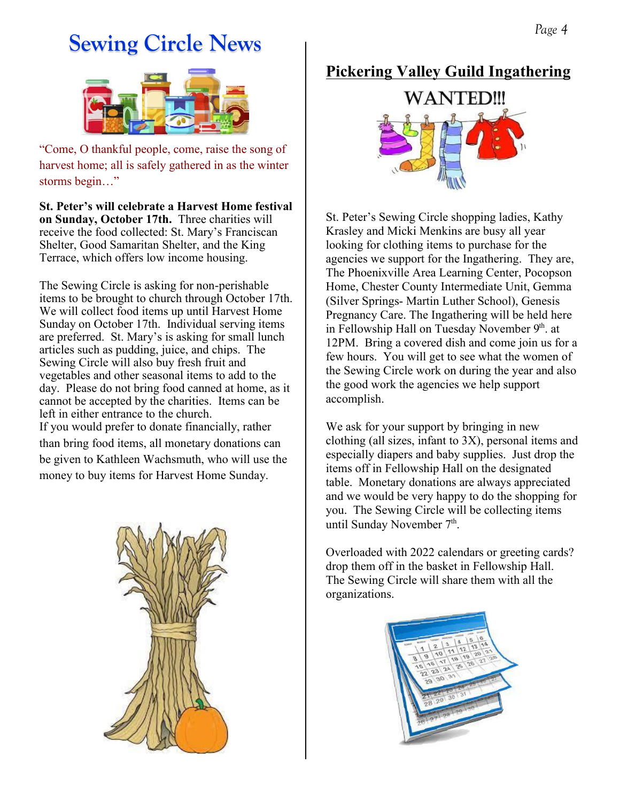# **Sewing Circle News**



"Come, O thankful people, come, raise the song of harvest home; all is safely gathered in as the winter storms begin…"

**St. Peter's will celebrate a Harvest Home festival on Sunday, October 17th.** Three charities will receive the food collected: St. Mary's Franciscan Shelter, Good Samaritan Shelter, and the King Terrace, which offers low income housing.

The Sewing Circle is asking for non-perishable items to be brought to church through October 17th. We will collect food items up until Harvest Home Sunday on October 17th. Individual serving items are preferred. St. Mary's is asking for small lunch articles such as pudding, juice, and chips. The Sewing Circle will also buy fresh fruit and vegetables and other seasonal items to add to the day. Please do not bring food canned at home, as it cannot be accepted by the charities. Items can be left in either entrance to the church. If you would prefer to donate financially, rather than bring food items, all monetary donations can be given to Kathleen Wachsmuth, who will use the money to buy items for Harvest Home Sunday.



#### **Pickering Valley Guild Ingathering**



St. Peter's Sewing Circle shopping ladies, Kathy Krasley and Micki Menkins are busy all year looking for clothing items to purchase for the agencies we support for the Ingathering. They are, The Phoenixville Area Learning Center, Pocopson Home, Chester County Intermediate Unit, Gemma (Silver Springs- Martin Luther School), Genesis Pregnancy Care. The Ingathering will be held here in Fellowship Hall on Tuesday November 9th. at 12PM. Bring a covered dish and come join us for a few hours. You will get to see what the women of the Sewing Circle work on during the year and also the good work the agencies we help support accomplish.

We ask for your support by bringing in new clothing (all sizes, infant to 3X), personal items and especially diapers and baby supplies. Just drop the items off in Fellowship Hall on the designated table. Monetary donations are always appreciated and we would be very happy to do the shopping for you. The Sewing Circle will be collecting items until Sunday November 7<sup>th</sup>.

Overloaded with 2022 calendars or greeting cards? drop them off in the basket in Fellowship Hall. The Sewing Circle will share them with all the organizations.

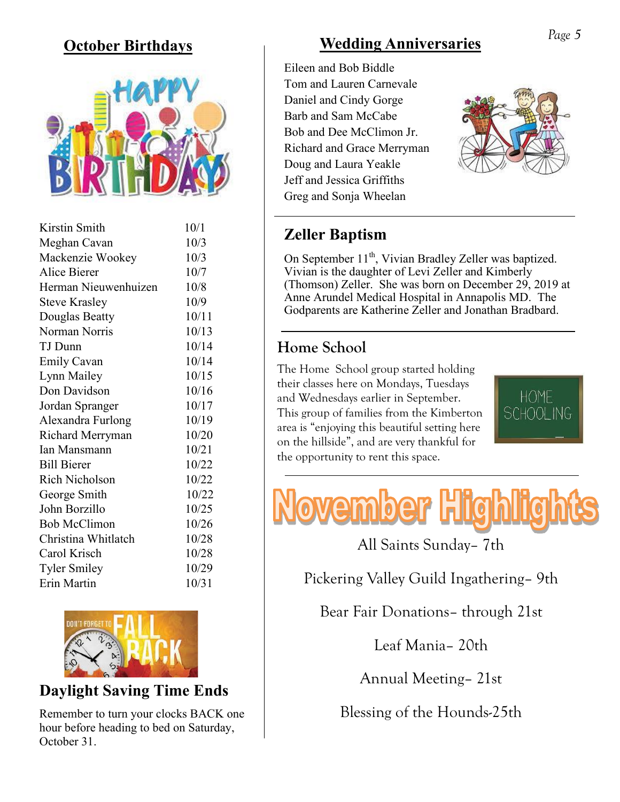# **October Birthdays**



| Kirstin Smith        | 10/1  |
|----------------------|-------|
| Meghan Cavan         | 10/3  |
| Mackenzie Wookey     | 10/3  |
| Alice Bierer         | 10/7  |
| Herman Nieuwenhuizen | 10/8  |
| <b>Steve Krasley</b> | 10/9  |
| Douglas Beatty       | 10/11 |
| Norman Norris        | 10/13 |
| TJ Dunn              | 10/14 |
| <b>Emily Cavan</b>   | 10/14 |
| Lynn Mailey          | 10/15 |
| Don Davidson         | 10/16 |
| Jordan Spranger      | 10/17 |
| Alexandra Furlong    | 10/19 |
| Richard Merryman     | 10/20 |
| <b>Ian Mansmann</b>  | 10/21 |
| <b>Bill Bierer</b>   | 10/22 |
| Rich Nicholson       | 10/22 |
| George Smith         | 10/22 |
| John Borzillo        | 10/25 |
| <b>Bob McClimon</b>  | 10/26 |
| Christina Whitlatch  | 10/28 |
| Carol Krisch         | 10/28 |
| <b>Tyler Smiley</b>  | 10/29 |
| Erin Martin          | 10/31 |
|                      |       |



#### **Daylight Saving Time Ends**

Remember to turn your clocks BACK one hour before heading to bed on Saturday, October 31.

# **Wedding Anniversaries**

Eileen and Bob Biddle Tom and Lauren Carnevale Daniel and Cindy Gorge Barb and Sam McCabe Bob and Dee McClimon Jr. Richard and Grace Merryman Doug and Laura Yeakle Jeff and Jessica Griffiths Greg and Sonja Wheelan



# **Zeller Baptism**

On September 11<sup>th</sup>, Vivian Bradley Zeller was baptized. Vivian is the daughter of Levi Zeller and Kimberly (Thomson) Zeller. She was born on December 29, 2019 at Anne Arundel Medical Hospital in Annapolis MD. The Godparents are Katherine Zeller and Jonathan Bradbard.

# **Home School**

The Home School group started holding their classes here on Mondays, Tuesdays and Wednesdays earlier in September. This group of families from the Kimberton area is "enjoying this beautiful setting here on the hillside", and are very thankful for the opportunity to rent this space.





All Saints Sunday– 7th

Pickering Valley Guild Ingathering– 9th

Bear Fair Donations– through 21st

Leaf Mania– 20th

Annual Meeting– 21st

Blessing of the Hounds-25th